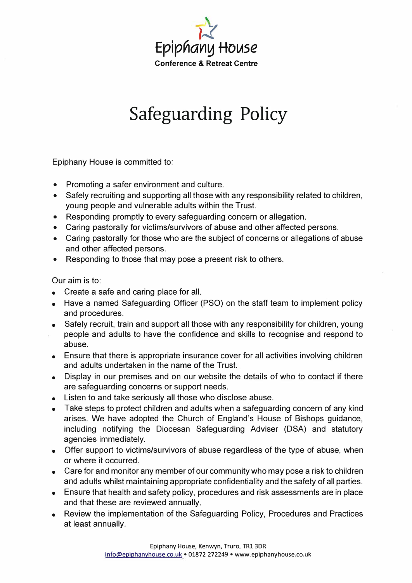

## **Safeguarding Policy**

Epiphany House is committed to:

- Promoting a safer environment and culture.
- Safely recruiting and supporting all those with any responsibility related to children, young people and vulnerable adults within the Trust.
- Responding promptly to every safeguarding concern or allegation.
- Caring pastorally for victims/survivors of abuse and other affected persons.
- Caring pastorally for those who are the subject of concerns or allegations of abuse and other affected persons.
- Responding to those that may pose a present risk to others.

Our aim is to:

- Create a safe and caring place for all.
- Have a named Safeguarding Officer (PSO) on the staff team to implement policy and procedures.
- Safely recruit, train and support all those with any responsibility for children, young people and adults to have the confidence and skills to recognise and respond to abuse.
- Ensure that there is appropriate insurance cover for all activities involving children and adults undertaken in the name of the Trust.
- Display in our premises and on our website the details of who to contact if there are safeguarding concerns or support needs.
- Listen to and take seriously all those who disclose abuse.
- Take steps to protect children and adults when a safeguarding concern of any kind arises. We have adopted the Church of England's House of Bishops guidance, including notifying the Diocesan Safeguarding Adviser (DSA) and statutory agencies immediately.
- Offer support to victims/survivors of abuse regardless of the type of abuse, when or where it occurred.
- Care for and monitor any member of our community who may pose a risk to children and adults whilst maintaining appropriate confidentiality and the safety of all parties.
- Ensure that health and safety policy, procedures and risk assessments are in place and that these are reviewed annually.
- Review the implementation of the Safeguarding Policy, Procedures and Practices at least annually.